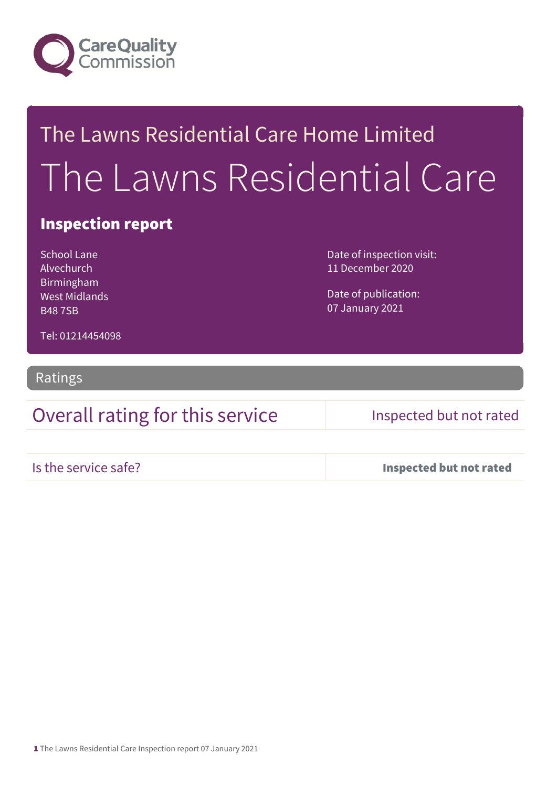

# The Lawns Residential Care Home Limited The Lawns Residential Care

## Inspection report

School Lane Alvechurch Birmingham West Midlands B48 7SB

Date of inspection visit: 11 December 2020

Date of publication: 07 January 2021

Tel: 01214454098

Ratings

## Overall rating for this service Inspected but not rated

Is the service safe? Inspected but not rated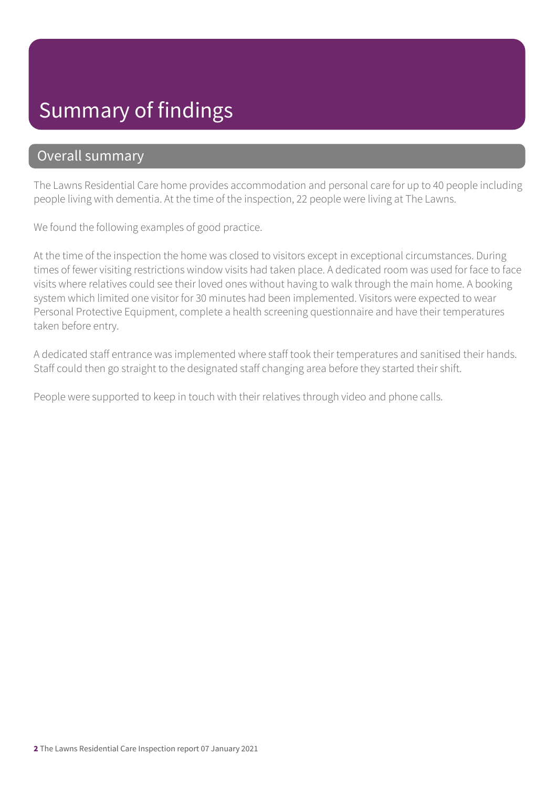# Summary of findings

### Overall summary

The Lawns Residential Care home provides accommodation and personal care for up to 40 people including people living with dementia. At the time of the inspection, 22 people were living at The Lawns.

We found the following examples of good practice.

At the time of the inspection the home was closed to visitors except in exceptional circumstances. During times of fewer visiting restrictions window visits had taken place. A dedicated room was used for face to face visits where relatives could see their loved ones without having to walk through the main home. A booking system which limited one visitor for 30 minutes had been implemented. Visitors were expected to wear Personal Protective Equipment, complete a health screening questionnaire and have their temperatures taken before entry.

A dedicated staff entrance was implemented where staff took their temperatures and sanitised their hands. Staff could then go straight to the designated staff changing area before they started their shift.

People were supported to keep in touch with their relatives through video and phone calls.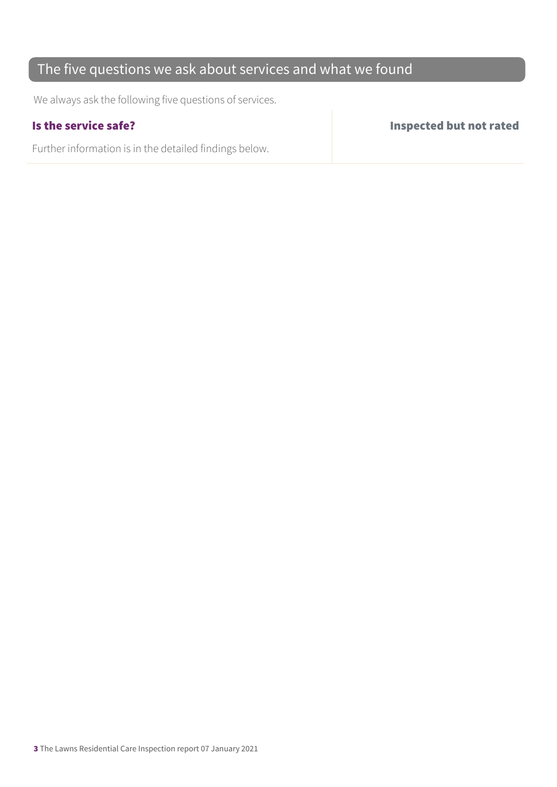## The five questions we ask about services and what we found

We always ask the following five questions of services.

Further information is in the detailed findings below.

Is the service safe? Inspected but not rated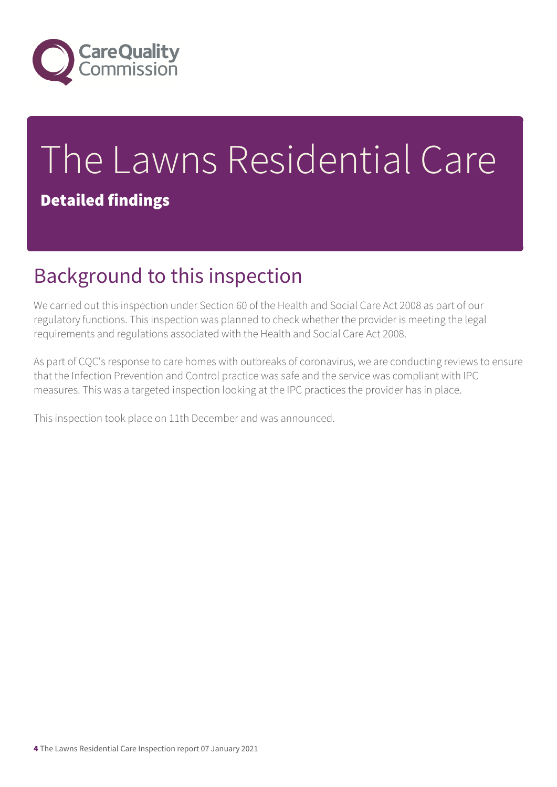

# The Lawns Residential Care

## Detailed findings

# Background to this inspection

We carried out this inspection under Section 60 of the Health and Social Care Act 2008 as part of our regulatory functions. This inspection was planned to check whether the provider is meeting the legal requirements and regulations associated with the Health and Social Care Act 2008.

As part of CQC's response to care homes with outbreaks of coronavirus, we are conducting reviews to ensure that the Infection Prevention and Control practice was safe and the service was compliant with IPC measures. This was a targeted inspection looking at the IPC practices the provider has in place.

This inspection took place on 11th December and was announced.